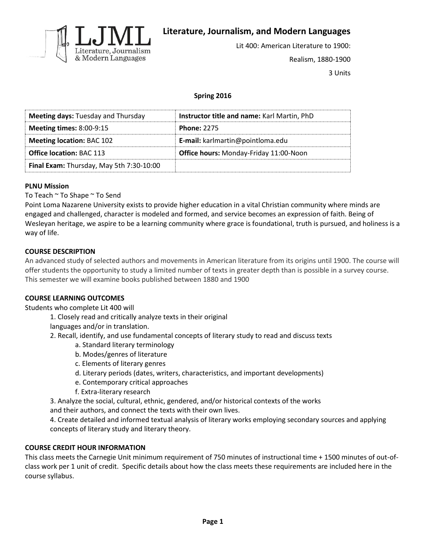

**Literature, Journalism, and Modern Languages**

Lit 400: American Literature to 1900: Realism, 1880-1900 3 Units

# **Spring 2016**

| <b>Meeting days: Tuesday and Thursday</b> | Instructor title and name: Karl Martin, PhD |
|-------------------------------------------|---------------------------------------------|
| Meeting times: $8:00-9:15$                | <b>Phone: 2275</b>                          |
| <b>Meeting location: BAC 102</b>          | E-mail: karlmartin@pointloma.edu            |
| <b>Office location: BAC 113</b>           | Office hours: Monday-Friday 11:00-Noon      |
| Final Exam: Thursday, May 5th 7:30-10:00  |                                             |

#### **PLNU Mission**

To Teach ~ To Shape ~ To Send

Point Loma Nazarene University exists to provide higher education in a vital Christian community where minds are engaged and challenged, character is modeled and formed, and service becomes an expression of faith. Being of Wesleyan heritage, we aspire to be a learning community where grace is foundational, truth is pursued, and holiness is a way of life.

## **COURSE DESCRIPTION**

An advanced study of selected authors and movements in American literature from its origins until 1900. The course will offer students the opportunity to study a limited number of texts in greater depth than is possible in a survey course. This semester we will examine books published between 1880 and 1900

#### **COURSE LEARNING OUTCOMES**

Students who complete Lit 400 will

1. Closely read and critically analyze texts in their original

languages and/or in translation.

2. Recall, identify, and use fundamental concepts of literary study to read and discuss texts

- a. Standard literary terminology
- b. Modes/genres of literature
- c. Elements of literary genres
- d. Literary periods (dates, writers, characteristics, and important developments)
- e. Contemporary critical approaches
- f. Extra-literary research

3. Analyze the social, cultural, ethnic, gendered, and/or historical contexts of the works and their authors, and connect the texts with their own lives.

4. Create detailed and informed textual analysis of literary works employing secondary sources and applying concepts of literary study and literary theory.

### **COURSE CREDIT HOUR INFORMATION**

This class meets the Carnegie Unit minimum requirement of 750 minutes of instructional time + 1500 minutes of out-ofclass work per 1 unit of credit. Specific details about how the class meets these requirements are included here in the course syllabus.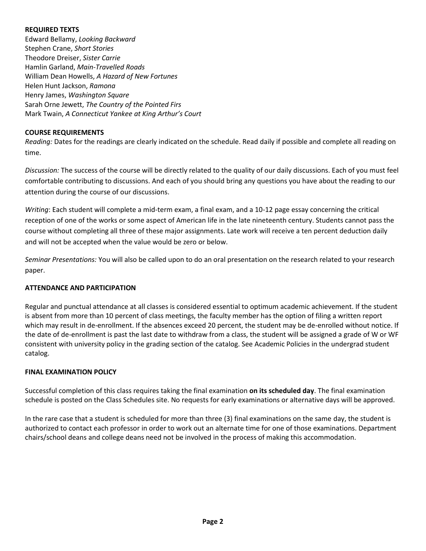### **REQUIRED TEXTS**

Edward Bellamy, *Looking Backward* Stephen Crane, *Short Stories* Theodore Dreiser, *Sister Carrie* Hamlin Garland, *Main-Travelled Roads* William Dean Howells, *A Hazard of New Fortunes* Helen Hunt Jackson, *Ramona* Henry James, *Washington Square* Sarah Orne Jewett, *The Country of the Pointed Firs* Mark Twain, *A Connecticut Yankee at King Arthur's Court*

## **COURSE REQUIREMENTS**

*Reading:* Dates for the readings are clearly indicated on the schedule. Read daily if possible and complete all reading on time.

*Discussion:* The success of the course will be directly related to the quality of our daily discussions. Each of you must feel comfortable contributing to discussions. And each of you should bring any questions you have about the reading to our attention during the course of our discussions.

*Writing*: Each student will complete a mid-term exam, a final exam, and a 10-12 page essay concerning the critical reception of one of the works or some aspect of American life in the late nineteenth century. Students cannot pass the course without completing all three of these major assignments. Late work will receive a ten percent deduction daily and will not be accepted when the value would be zero or below.

*Seminar Presentations:* You will also be called upon to do an oral presentation on the research related to your research paper.

# **ATTENDANCE AND PARTICIPATION**

Regular and punctual attendance at all classes is considered essential to optimum academic achievement. If the student is absent from more than 10 percent of class meetings, the faculty member has the option of filing a written report which may result in de-enrollment. If the absences exceed 20 percent, the student may be de-enrolled without notice. If the date of de-enrollment is past the last date to withdraw from a class, the student will be assigned a grade of W or WF consistent with university policy in the grading section of the catalog. See Academic Policies in the undergrad student catalog.

#### **FINAL EXAMINATION POLICY**

Successful completion of this class requires taking the final examination **on its scheduled day**. The final examination schedule is posted on the Class Schedules site. No requests for early examinations or alternative days will be approved.

In the rare case that a student is scheduled for more than three (3) final examinations on the same day, the student is authorized to contact each professor in order to work out an alternate time for one of those examinations. Department chairs/school deans and college deans need not be involved in the process of making this accommodation.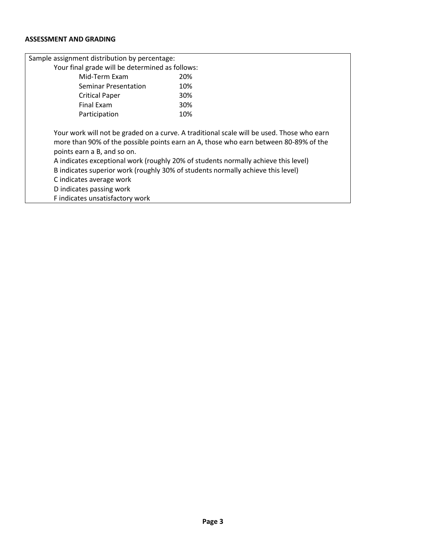## **ASSESSMENT AND GRADING**

| Sample assignment distribution by percentage:                                                                                                                                                                                                                                                                                                                                                                                                                                        |     |
|--------------------------------------------------------------------------------------------------------------------------------------------------------------------------------------------------------------------------------------------------------------------------------------------------------------------------------------------------------------------------------------------------------------------------------------------------------------------------------------|-----|
| Your final grade will be determined as follows:                                                                                                                                                                                                                                                                                                                                                                                                                                      |     |
| Mid-Term Exam                                                                                                                                                                                                                                                                                                                                                                                                                                                                        | 20% |
| Seminar Presentation                                                                                                                                                                                                                                                                                                                                                                                                                                                                 | 10% |
| <b>Critical Paper</b>                                                                                                                                                                                                                                                                                                                                                                                                                                                                | 30% |
| <b>Final Exam</b>                                                                                                                                                                                                                                                                                                                                                                                                                                                                    | 30% |
| Participation                                                                                                                                                                                                                                                                                                                                                                                                                                                                        | 10% |
| Your work will not be graded on a curve. A traditional scale will be used. Those who earn<br>more than 90% of the possible points earn an A, those who earn between 80-89% of the<br>points earn a B, and so on.<br>A indicates exceptional work (roughly 20% of students normally achieve this level)<br>B indicates superior work (roughly 30% of students normally achieve this level)<br>C indicates average work<br>D indicates passing work<br>F indicates unsatisfactory work |     |